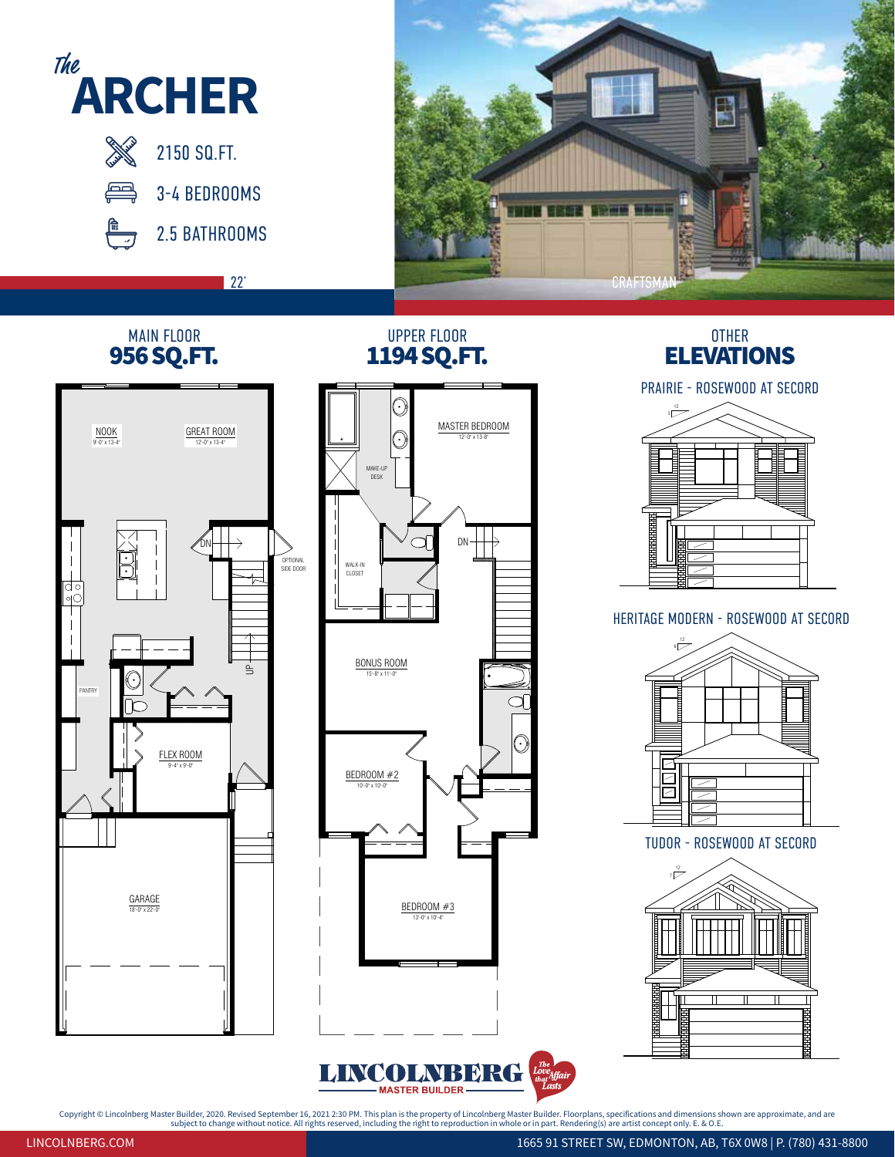

Copyright © Lincolnberg Master Builder, 2020. Revised September 16, 2021 2:30 PM. This plan is the property of Lincolnberg Master Builder. Floorplans, specifications and dimensions shown are approximate, and are<br>subject to **ARCHER**